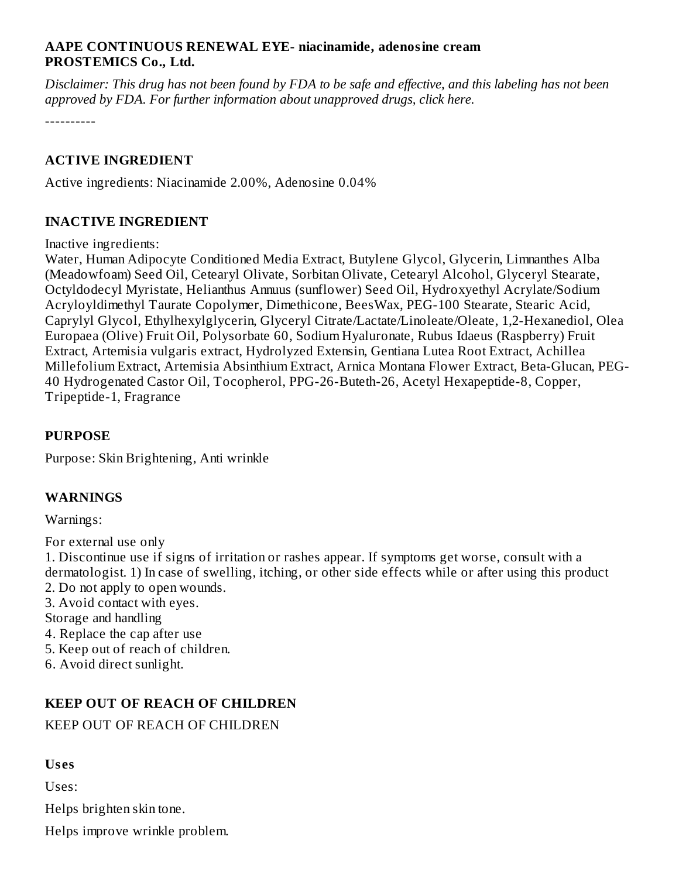### **AAPE CONTINUOUS RENEWAL EYE- niacinamide, adenosine cream PROSTEMICS Co., Ltd.**

Disclaimer: This drug has not been found by FDA to be safe and effective, and this labeling has not been *approved by FDA. For further information about unapproved drugs, click here.*

----------

#### **ACTIVE INGREDIENT**

Active ingredients: Niacinamide 2.00%, Adenosine 0.04%

#### **INACTIVE INGREDIENT**

Inactive ingredients:

Water, Human Adipocyte Conditioned Media Extract, Butylene Glycol, Glycerin, Limnanthes Alba (Meadowfoam) Seed Oil, Cetearyl Olivate, Sorbitan Olivate, Cetearyl Alcohol, Glyceryl Stearate, Octyldodecyl Myristate, Helianthus Annuus (sunflower) Seed Oil, Hydroxyethyl Acrylate/Sodium Acryloyldimethyl Taurate Copolymer, Dimethicone, BeesWax, PEG-100 Stearate, Stearic Acid, Caprylyl Glycol, Ethylhexylglycerin, Glyceryl Citrate/Lactate/Linoleate/Oleate, 1,2-Hexanediol, Olea Europaea (Olive) Fruit Oil, Polysorbate 60, Sodium Hyaluronate, Rubus Idaeus (Raspberry) Fruit Extract, Artemisia vulgaris extract, Hydrolyzed Extensin, Gentiana Lutea Root Extract, Achillea Millefolium Extract, Artemisia Absinthium Extract, Arnica Montana Flower Extract, Beta-Glucan, PEG-40 Hydrogenated Castor Oil, Tocopherol, PPG-26-Buteth-26, Acetyl Hexapeptide-8, Copper, Tripeptide-1, Fragrance

#### **PURPOSE**

Purpose: Skin Brightening, Anti wrinkle

#### **WARNINGS**

Warnings:

For external use only

1. Discontinue use if signs of irritation or rashes appear. If symptoms get worse, consult with a dermatologist. 1) In case of swelling, itching, or other side effects while or after using this product 2. Do not apply to open wounds.

3. Avoid contact with eyes.

- Storage and handling
- 4. Replace the cap after use
- 5. Keep out of reach of children.
- 6. Avoid direct sunlight.

### **KEEP OUT OF REACH OF CHILDREN**

### KEEP OUT OF REACH OF CHILDREN

#### **Us es**

Uses:

Helps brighten skin tone.

Helps improve wrinkle problem.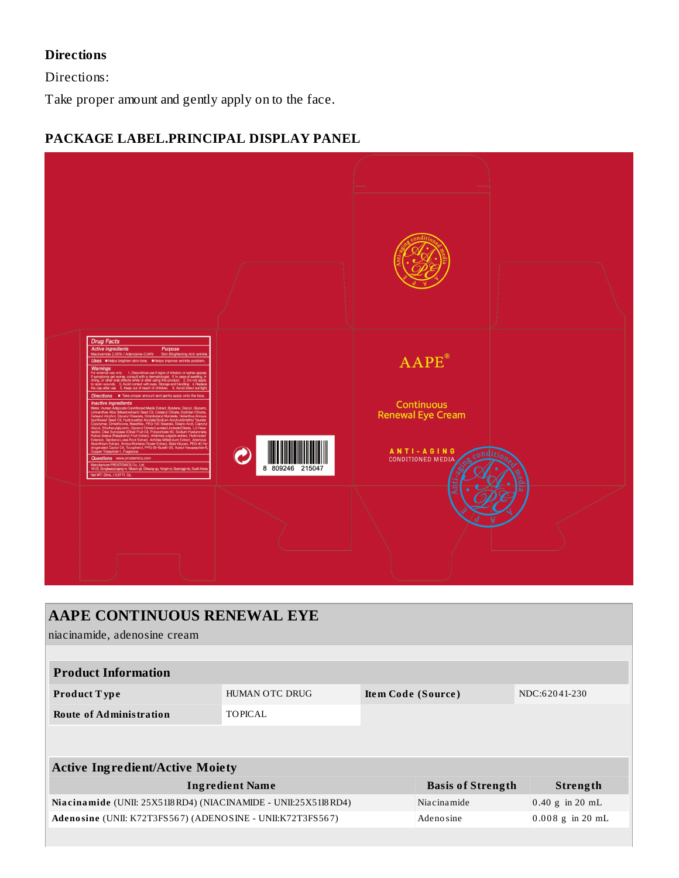## **Directions**

Directions:

Take proper amount and gently apply on to the face.

## **PACKAGE LABEL.PRINCIPAL DISPLAY PANEL**



| AAPE CONTINUOUS RENEWAL EYE<br>niacinamide, adenosine cream    |                       |                    |                          |                           |  |  |  |  |  |
|----------------------------------------------------------------|-----------------------|--------------------|--------------------------|---------------------------|--|--|--|--|--|
|                                                                |                       |                    |                          |                           |  |  |  |  |  |
| <b>Product Information</b>                                     |                       |                    |                          |                           |  |  |  |  |  |
| Product Type                                                   | <b>HUMAN OTC DRUG</b> | Item Code (Source) |                          | NDC:62041-230             |  |  |  |  |  |
| <b>Route of Administration</b>                                 | <b>TOPICAL</b>        |                    |                          |                           |  |  |  |  |  |
|                                                                |                       |                    |                          |                           |  |  |  |  |  |
|                                                                |                       |                    |                          |                           |  |  |  |  |  |
| <b>Active Ingredient/Active Moiety</b>                         |                       |                    |                          |                           |  |  |  |  |  |
| <b>Ingredient Name</b>                                         |                       |                    | <b>Basis of Strength</b> | Strength                  |  |  |  |  |  |
| Niacinamide (UNII: 25X51I8RD4) (NIACINAMIDE - UNII:25X51I8RD4) |                       |                    | Niacinamide              | $0.40 \text{ g}$ in 20 mL |  |  |  |  |  |
| Adenosine (UNII: K72T3FS567) (ADENOSINE - UNII:K72T3FS567)     |                       |                    | Adenosine                | $0.008$ g in 20 mL        |  |  |  |  |  |
|                                                                |                       |                    |                          |                           |  |  |  |  |  |